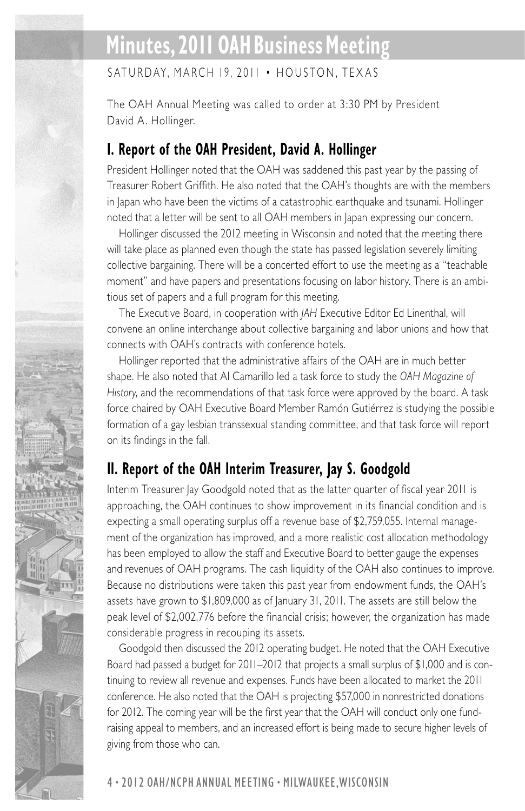# **Minutes, 2011 OAH Business Meeting**

 $SATURDAY$ , MARCH 19, 2011 • HOUSTON, TEXAS

The OAH Annual Meeting was called to order at 3:30 PM by President David A. Hollinger.

### **I. Report of the OAH President, David A. Hollinger**

President Hollinger noted that the OAH was saddened this past year by the passing of Treasurer Robert Griffith. He also noted that the OAH's thoughts are with the members in Japan who have been the victims of a catastrophic earthquake and tsunami. Hollinger noted that a letter will be sent to all OAH members in Japan expressing our concern.

Hollinger discussed the 2012 meeting in Wisconsin and noted that the meeting there will take place as planned even though the state has passed legislation severely limiting collective bargaining. There will be a concerted effort to use the meeting as a "teachable moment" and have papers and presentations focusing on labor history. There is an ambitious set of papers and a full program for this meeting.

The Executive Board, in cooperation with *JAH* Executive Editor Ed Linenthal, will convene an online interchange about collective bargaining and labor unions and how that connects with OAH's contracts with conference hotels.

Hollinger reported that the administrative affairs of the OAH are in much better shape. He also noted that Al Camarillo led a task force to study the *OAH Magazine of History*, and the recommendations of that task force were approved by the board. A task force chaired by OAH Executive Board Member Ramón Gutiérrez is studying the possible formation of a gay lesbian transsexual standing committee, and that task force will report on its findings in the fall.

### **II. Report of the OAH Interim Treasurer, Jay S. Goodgold**

Interim Treasurer Jay Goodgold noted that as the latter quarter of fiscal year 2011 is approaching, the OAH continues to show improvement in its financial condition and is expecting a small operating surplus off a revenue base of \$2,759,055. Internal management of the organization has improved, and a more realistic cost allocation methodology has been employed to allow the staff and Executive Board to better gauge the expenses and revenues of OAH programs. The cash liquidity of the OAH also continues to improve. Because no distributions were taken this past year from endowment funds, the OAH's assets have grown to \$1,809,000 as of January 31, 2011. The assets are still below the peak level of \$2,002,776 before the financial crisis; however, the organization has made considerable progress in recouping its assets.

Goodgold then discussed the 2012 operating budget. He noted that the OAH Executive Board had passed a budget for 2011–2012 that projects a small surplus of \$1,000 and is continuing to review all revenue and expenses. Funds have been allocated to market the 2011 conference. He also noted that the OAH is projecting \$57,000 in nonrestricted donations for 2012. The coming year will be the first year that the OAH will conduct only one fundraising appeal to members, and an increased effort is being made to secure higher levels of giving from those who can.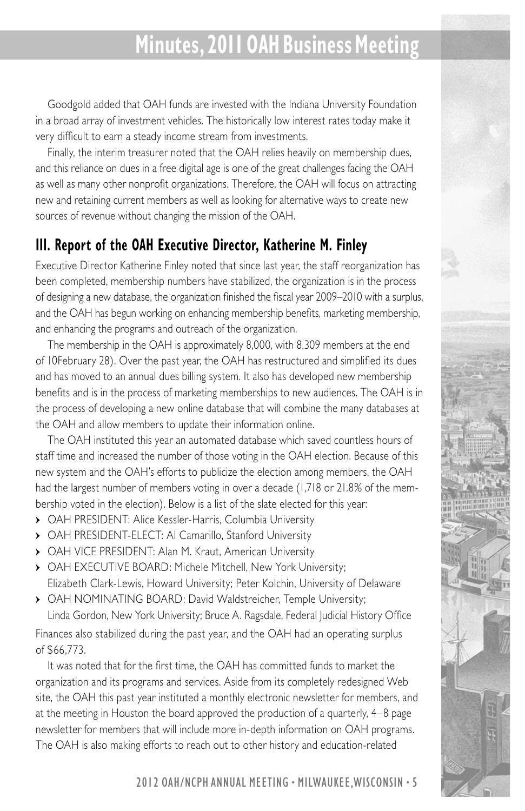# **Minutes, 2011 OAH Business Meeting**

Goodgold added that OAH funds are invested with the Indiana University Foundation in a broad array of investment vehicles. The historically low interest rates today make it very difficult to earn a steady income stream from investments.

Finally, the interim treasurer noted that the OAH relies heavily on membership dues, and this reliance on dues in a free digital age is one of the great challenges facing the OAH as well as many other nonprofit organizations. Therefore, the OAH will focus on attracting new and retaining current members as well as looking for alternative ways to create new sources of revenue without changing the mission of the OAH.

### **III. Report of the OAH Executive Director, Katherine M. Finley**

Executive Director Katherine Finley noted that since last year, the staff reorganization has been completed, membership numbers have stabilized, the organization is in the process of designing a new database, the organization finished the fiscal year 2009–2010 with a surplus, and the OAH has begun working on enhancing membership benefits, marketing membership, and enhancing the programs and outreach of the organization.

The membership in the OAH is approximately 8,000, with 8,309 members at the end of 10February 28). Over the past year, the OAH has restructured and simplified its dues and has moved to an annual dues billing system. It also has developed new membership benefits and is in the process of marketing memberships to new audiences. The OAH is in the process of developing a new online database that will combine the many databases at the OAH and allow members to update their information online.

The OAH instituted this year an automated database which saved countless hours of staff time and increased the number of those voting in the OAH election. Because of this new system and the OAH's efforts to publicize the election among members, the OAH had the largest number of members voting in over a decade (1,718 or 21.8% of the membership voted in the election). Below is a list of the slate elected for this year:

- OAH PRESIDENT: Alice Kessler-Harris, Columbia University
- OAH PRESIDENT-ELECT: Al Camarillo, Stanford University
- OAH VICE PRESIDENT: Alan M. Kraut, American University
- OAH EXECUTIVE BOARD: Michele Mitchell, New York University; Elizabeth Clark-Lewis, Howard University; Peter Kolchin, University of Delaware
- OAH NOMINATING BOARD: David Waldstreicher, Temple University; Linda Gordon, New York University; Bruce A. Ragsdale, Federal Judicial History Office

Finances also stabilized during the past year, and the OAH had an operating surplus of \$66,773.

It was noted that for the first time, the OAH has committed funds to market the organization and its programs and services. Aside from its completely redesigned Web site, the OAH this past year instituted a monthly electronic newsletter for members, and at the meeting in Houston the board approved the production of a quarterly, 4–8 page newsletter for members that will include more in-depth information on OAH programs. The OAH is also making efforts to reach out to other history and education-related